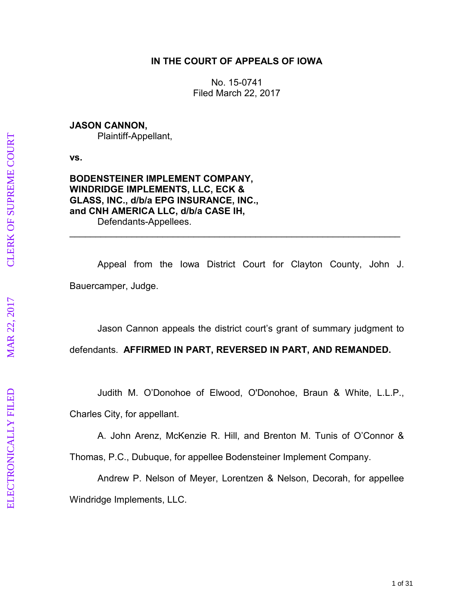# **IN THE COURT OF APPEALS OF IOWA**

No. 15-0741 Filed March 22, 2017

### **JASON CANNON,**

Plaintiff-Appellant,

**vs.** 

### **BODENSTEINER IMPLEMENT COMPANY, WINDRIDGE IMPLEMENTS, LLC, ECK & GLASS, INC., d/b/a EPG INSURANCE, INC., and CNH AMERICA LLC, d/b/a CASE IH,**  Defendants-Appellees.

 Appeal from the Iowa District Court for Clayton County, John J. Bauercamper, Judge.

\_\_\_\_\_\_\_\_\_\_\_\_\_\_\_\_\_\_\_\_\_\_\_\_\_\_\_\_\_\_\_\_\_\_\_\_\_\_\_\_\_\_\_\_\_\_\_\_\_\_\_\_\_\_\_\_\_\_\_\_\_\_\_\_

Jason Cannon appeals the district court's grant of summary judgment to

defendants. **AFFIRMED IN PART, REVERSED IN PART, AND REMANDED.** 

 Judith M. O'Donohoe of Elwood, O'Donohoe, Braun & White, L.L.P., Charles City, for appellant.

 A. John Arenz, McKenzie R. Hill, and Brenton M. Tunis of O'Connor & Thomas, P.C., Dubuque, for appellee Bodensteiner Implement Company.

 Andrew P. Nelson of Meyer, Lorentzen & Nelson, Decorah, for appellee Windridge Implements, LLC.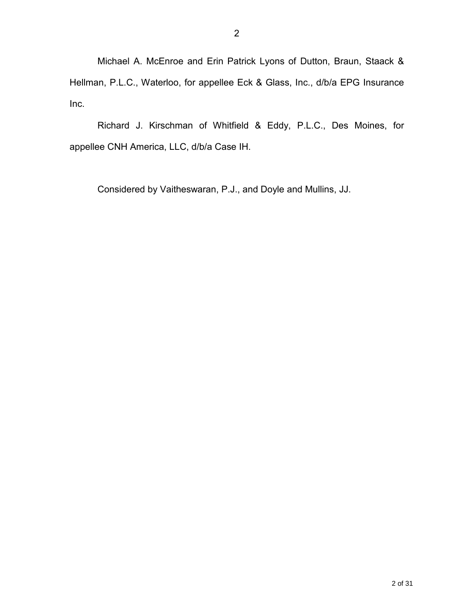Michael A. McEnroe and Erin Patrick Lyons of Dutton, Braun, Staack & Hellman, P.L.C., Waterloo, for appellee Eck & Glass, Inc., d/b/a EPG Insurance Inc.

 Richard J. Kirschman of Whitfield & Eddy, P.L.C., Des Moines, for appellee CNH America, LLC, d/b/a Case IH.

Considered by Vaitheswaran, P.J., and Doyle and Mullins, JJ.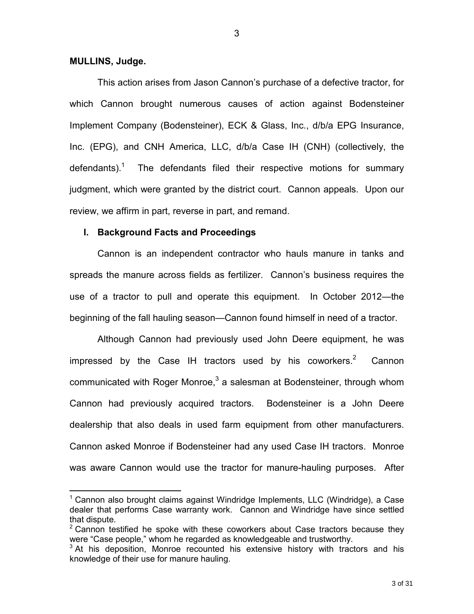#### **MULLINS, Judge.**

 $\overline{a}$ 

 This action arises from Jason Cannon's purchase of a defective tractor, for which Cannon brought numerous causes of action against Bodensteiner Implement Company (Bodensteiner), ECK & Glass, Inc., d/b/a EPG Insurance, Inc. (EPG), and CNH America, LLC, d/b/a Case IH (CNH) (collectively, the defendants).<sup>1</sup> The defendants filed their respective motions for summary judgment, which were granted by the district court. Cannon appeals. Upon our review, we affirm in part, reverse in part, and remand.

#### **I. Background Facts and Proceedings**

Cannon is an independent contractor who hauls manure in tanks and spreads the manure across fields as fertilizer. Cannon's business requires the use of a tractor to pull and operate this equipment. In October 2012—the beginning of the fall hauling season—Cannon found himself in need of a tractor.

Although Cannon had previously used John Deere equipment, he was impressed by the Case IH tractors used by his coworkers. $2$  Cannon communicated with Roger Monroe, $^3$  a salesman at Bodensteiner, through whom Cannon had previously acquired tractors. Bodensteiner is a John Deere dealership that also deals in used farm equipment from other manufacturers. Cannon asked Monroe if Bodensteiner had any used Case IH tractors. Monroe was aware Cannon would use the tractor for manure-hauling purposes. After

<sup>&</sup>lt;sup>1</sup> Cannon also brought claims against Windridge Implements, LLC (Windridge), a Case dealer that performs Case warranty work. Cannon and Windridge have since settled that dispute.

 $2$  Cannon testified he spoke with these coworkers about Case tractors because they were "Case people," whom he regarded as knowledgeable and trustworthy.

 $3$  At his deposition, Monroe recounted his extensive history with tractors and his knowledge of their use for manure hauling.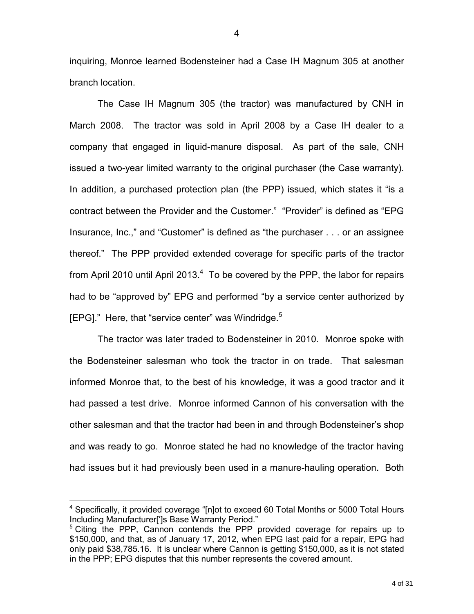inquiring, Monroe learned Bodensteiner had a Case IH Magnum 305 at another branch location.

The Case IH Magnum 305 (the tractor) was manufactured by CNH in March 2008. The tractor was sold in April 2008 by a Case IH dealer to a company that engaged in liquid-manure disposal. As part of the sale, CNH issued a two-year limited warranty to the original purchaser (the Case warranty). In addition, a purchased protection plan (the PPP) issued, which states it "is a contract between the Provider and the Customer." "Provider" is defined as "EPG Insurance, Inc.," and "Customer" is defined as "the purchaser . . . or an assignee thereof." The PPP provided extended coverage for specific parts of the tractor from April 2010 until April 2013. $4$  To be covered by the PPP, the labor for repairs had to be "approved by" EPG and performed "by a service center authorized by [EPG]." Here, that "service center" was Windridge.<sup>5</sup>

The tractor was later traded to Bodensteiner in 2010. Monroe spoke with the Bodensteiner salesman who took the tractor in on trade. That salesman informed Monroe that, to the best of his knowledge, it was a good tractor and it had passed a test drive. Monroe informed Cannon of his conversation with the other salesman and that the tractor had been in and through Bodensteiner's shop and was ready to go. Monroe stated he had no knowledge of the tractor having had issues but it had previously been used in a manure-hauling operation. Both

<sup>&</sup>lt;sup>4</sup> Specifically, it provided coverage "[n]ot to exceed 60 Total Months or 5000 Total Hours Including Manufacturer[']s Base Warranty Period."

<sup>&</sup>lt;sup>5</sup> Citing the PPP, Cannon contends the PPP provided coverage for repairs up to \$150,000, and that, as of January 17, 2012, when EPG last paid for a repair, EPG had only paid \$38,785.16. It is unclear where Cannon is getting \$150,000, as it is not stated in the PPP; EPG disputes that this number represents the covered amount.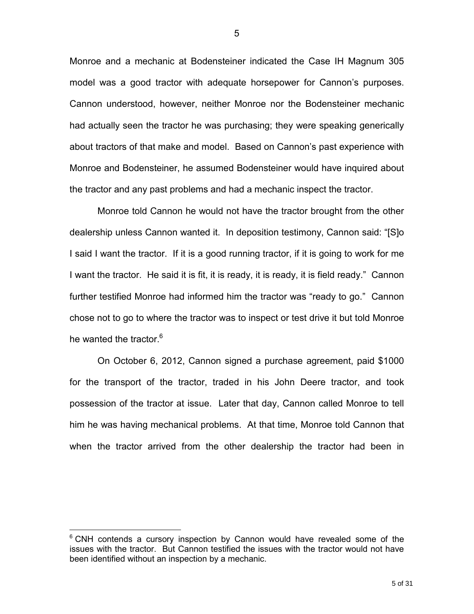Monroe and a mechanic at Bodensteiner indicated the Case IH Magnum 305 model was a good tractor with adequate horsepower for Cannon's purposes. Cannon understood, however, neither Monroe nor the Bodensteiner mechanic had actually seen the tractor he was purchasing; they were speaking generically about tractors of that make and model. Based on Cannon's past experience with Monroe and Bodensteiner, he assumed Bodensteiner would have inquired about the tractor and any past problems and had a mechanic inspect the tractor.

Monroe told Cannon he would not have the tractor brought from the other dealership unless Cannon wanted it. In deposition testimony, Cannon said: "[S]o I said I want the tractor. If it is a good running tractor, if it is going to work for me I want the tractor. He said it is fit, it is ready, it is ready, it is field ready." Cannon further testified Monroe had informed him the tractor was "ready to go." Cannon chose not to go to where the tractor was to inspect or test drive it but told Monroe he wanted the tractor.<sup>6</sup>

On October 6, 2012, Cannon signed a purchase agreement, paid \$1000 for the transport of the tractor, traded in his John Deere tractor, and took possession of the tractor at issue. Later that day, Cannon called Monroe to tell him he was having mechanical problems. At that time, Monroe told Cannon that when the tractor arrived from the other dealership the tractor had been in

<sup>&</sup>lt;sup>6</sup> CNH contends a cursory inspection by Cannon would have revealed some of the issues with the tractor. But Cannon testified the issues with the tractor would not have been identified without an inspection by a mechanic.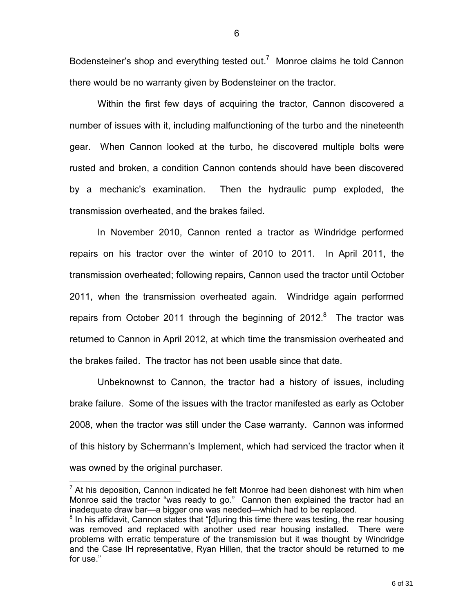Bodensteiner's shop and everything tested out.<sup>7</sup> Monroe claims he told Cannon there would be no warranty given by Bodensteiner on the tractor.

Within the first few days of acquiring the tractor, Cannon discovered a number of issues with it, including malfunctioning of the turbo and the nineteenth gear. When Cannon looked at the turbo, he discovered multiple bolts were rusted and broken, a condition Cannon contends should have been discovered by a mechanic's examination. Then the hydraulic pump exploded, the transmission overheated, and the brakes failed.

In November 2010, Cannon rented a tractor as Windridge performed repairs on his tractor over the winter of 2010 to 2011. In April 2011, the transmission overheated; following repairs, Cannon used the tractor until October 2011, when the transmission overheated again. Windridge again performed repairs from October 2011 through the beginning of 2012. $8$  The tractor was returned to Cannon in April 2012, at which time the transmission overheated and the brakes failed. The tractor has not been usable since that date.

Unbeknownst to Cannon, the tractor had a history of issues, including brake failure. Some of the issues with the tractor manifested as early as October 2008, when the tractor was still under the Case warranty. Cannon was informed of this history by Schermann's Implement, which had serviced the tractor when it was owned by the original purchaser.

6

 $\overline{a}$  $<sup>7</sup>$  At his deposition, Cannon indicated he felt Monroe had been dishonest with him when</sup> Monroe said the tractor "was ready to go." Cannon then explained the tractor had an inadequate draw bar—a bigger one was needed—which had to be replaced.

 $8$  In his affidavit, Cannon states that "[d]uring this time there was testing, the rear housing was removed and replaced with another used rear housing installed. There were problems with erratic temperature of the transmission but it was thought by Windridge and the Case IH representative, Ryan Hillen, that the tractor should be returned to me for use."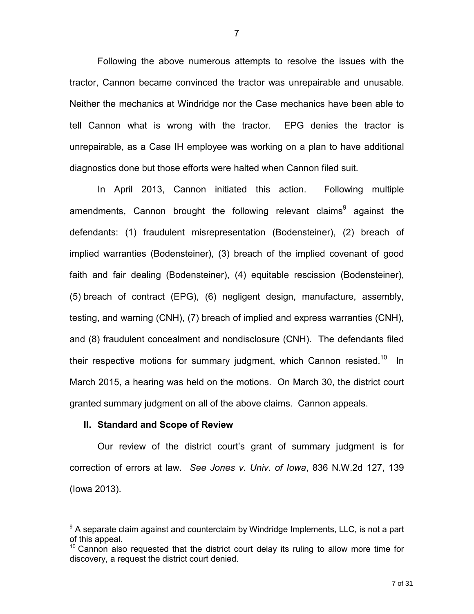Following the above numerous attempts to resolve the issues with the tractor, Cannon became convinced the tractor was unrepairable and unusable. Neither the mechanics at Windridge nor the Case mechanics have been able to tell Cannon what is wrong with the tractor. EPG denies the tractor is unrepairable, as a Case IH employee was working on a plan to have additional diagnostics done but those efforts were halted when Cannon filed suit.

 In April 2013, Cannon initiated this action. Following multiple amendments, Cannon brought the following relevant claims<sup>9</sup> against the defendants: (1) fraudulent misrepresentation (Bodensteiner), (2) breach of implied warranties (Bodensteiner), (3) breach of the implied covenant of good faith and fair dealing (Bodensteiner), (4) equitable rescission (Bodensteiner), (5) breach of contract (EPG), (6) negligent design, manufacture, assembly, testing, and warning (CNH), (7) breach of implied and express warranties (CNH), and (8) fraudulent concealment and nondisclosure (CNH). The defendants filed their respective motions for summary judgment, which Cannon resisted.<sup>10</sup> In March 2015, a hearing was held on the motions. On March 30, the district court granted summary judgment on all of the above claims. Cannon appeals.

#### **II. Standard and Scope of Review**

 $\overline{a}$ 

 Our review of the district court's grant of summary judgment is for correction of errors at law. *See Jones v. Univ. of Iowa*, 836 N.W.2d 127, 139 (Iowa 2013).

<sup>&</sup>lt;sup>9</sup> A separate claim against and counterclaim by Windridge Implements, LLC, is not a part of this appeal.

 $10$  Cannon also requested that the district court delay its ruling to allow more time for discovery, a request the district court denied.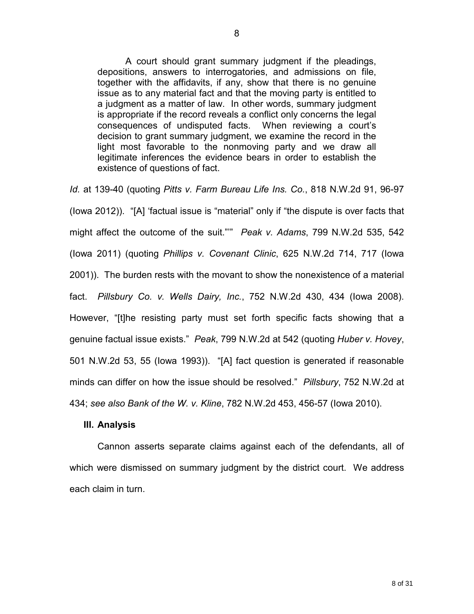A court should grant summary judgment if the pleadings, depositions, answers to interrogatories, and admissions on file, together with the affidavits, if any, show that there is no genuine issue as to any material fact and that the moving party is entitled to a judgment as a matter of law. In other words, summary judgment is appropriate if the record reveals a conflict only concerns the legal consequences of undisputed facts. When reviewing a court's decision to grant summary judgment, we examine the record in the light most favorable to the nonmoving party and we draw all legitimate inferences the evidence bears in order to establish the existence of questions of fact.

*Id.* at 139-40 (quoting *Pitts v. Farm Bureau Life Ins. Co.*, 818 N.W.2d 91, 96-97 (Iowa 2012)). "[A] 'factual issue is "material" only if "the dispute is over facts that might affect the outcome of the suit."'" *Peak v. Adams*, 799 N.W.2d 535, 542 (Iowa 2011) (quoting *Phillips v. Covenant Clinic*, 625 N.W.2d 714, 717 (Iowa 2001)). The burden rests with the movant to show the nonexistence of a material fact. *Pillsbury Co. v. Wells Dairy, Inc.*, 752 N.W.2d 430, 434 (Iowa 2008). However, "[t]he resisting party must set forth specific facts showing that a genuine factual issue exists." *Peak*, 799 N.W.2d at 542 (quoting *Huber v. Hovey*, 501 N.W.2d 53, 55 (Iowa 1993)). "[A] fact question is generated if reasonable minds can differ on how the issue should be resolved." *Pillsbury*, 752 N.W.2d at 434; *see also Bank of the W. v. Kline*, 782 N.W.2d 453, 456-57 (Iowa 2010).

### **III. Analysis**

Cannon asserts separate claims against each of the defendants, all of which were dismissed on summary judgment by the district court. We address each claim in turn.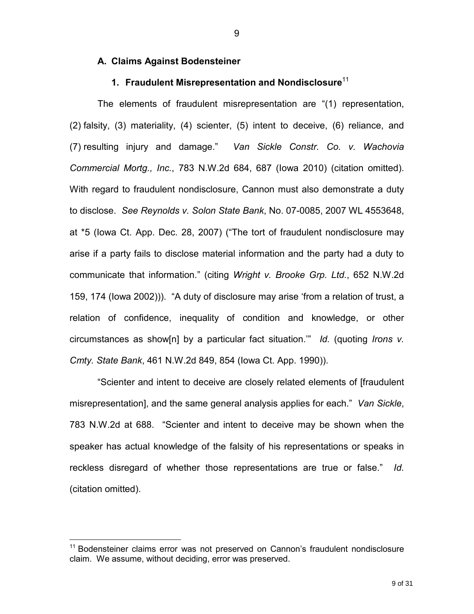#### **A. Claims Against Bodensteiner**

# **1. Fraudulent Misrepresentation and Nondisclosure**<sup>11</sup>

The elements of fraudulent misrepresentation are "(1) representation, (2) falsity, (3) materiality, (4) scienter, (5) intent to deceive, (6) reliance, and (7) resulting injury and damage." *Van Sickle Constr. Co. v. Wachovia Commercial Mortg., Inc.*, 783 N.W.2d 684, 687 (Iowa 2010) (citation omitted). With regard to fraudulent nondisclosure, Cannon must also demonstrate a duty to disclose. *See Reynolds v. Solon State Bank*, No. 07-0085, 2007 WL 4553648, at \*5 (Iowa Ct. App. Dec. 28, 2007) ("The tort of fraudulent nondisclosure may arise if a party fails to disclose material information and the party had a duty to communicate that information." (citing *Wright v. Brooke Grp. Ltd.*, 652 N.W.2d 159, 174 (Iowa 2002))). "A duty of disclosure may arise 'from a relation of trust, a relation of confidence, inequality of condition and knowledge, or other circumstances as show[n] by a particular fact situation.'" *Id.* (quoting *Irons v. Cmty. State Bank*, 461 N.W.2d 849, 854 (Iowa Ct. App. 1990)).

 "Scienter and intent to deceive are closely related elements of [fraudulent misrepresentation], and the same general analysis applies for each." *Van Sickle*, 783 N.W.2d at 688. "Scienter and intent to deceive may be shown when the speaker has actual knowledge of the falsity of his representations or speaks in reckless disregard of whether those representations are true or false." *Id.* (citation omitted).

<sup>&</sup>lt;sup>11</sup> Bodensteiner claims error was not preserved on Cannon's fraudulent nondisclosure claim. We assume, without deciding, error was preserved.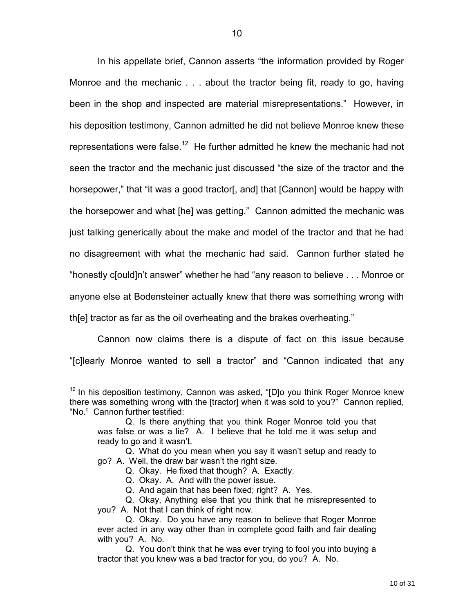In his appellate brief, Cannon asserts "the information provided by Roger Monroe and the mechanic . . . about the tractor being fit, ready to go, having been in the shop and inspected are material misrepresentations." However, in his deposition testimony, Cannon admitted he did not believe Monroe knew these representations were false.<sup>12</sup> He further admitted he knew the mechanic had not seen the tractor and the mechanic just discussed "the size of the tractor and the horsepower," that "it was a good tractor[, and] that [Cannon] would be happy with the horsepower and what [he] was getting." Cannon admitted the mechanic was just talking generically about the make and model of the tractor and that he had no disagreement with what the mechanic had said. Cannon further stated he "honestly c[ould]n't answer" whether he had "any reason to believe . . . Monroe or anyone else at Bodensteiner actually knew that there was something wrong with th[e] tractor as far as the oil overheating and the brakes overheating."

 Cannon now claims there is a dispute of fact on this issue because "[c]learly Monroe wanted to sell a tractor" and "Cannon indicated that any

 $12$  In his deposition testimony, Cannon was asked, "[D]o you think Roger Monroe knew there was something wrong with the [tractor] when it was sold to you?" Cannon replied, "No." Cannon further testified:

Q. Is there anything that you think Roger Monroe told you that was false or was a lie? A. I believe that he told me it was setup and ready to go and it wasn't.

Q. What do you mean when you say it wasn't setup and ready to go? A. Well, the draw bar wasn't the right size.

Q. Okay. He fixed that though? A. Exactly.

Q. Okay. A. And with the power issue.

Q. And again that has been fixed; right? A. Yes.

Q. Okay, Anything else that you think that he misrepresented to you? A. Not that I can think of right now.

Q. Okay. Do you have any reason to believe that Roger Monroe ever acted in any way other than in complete good faith and fair dealing with you? A. No.

Q. You don't think that he was ever trying to fool you into buying a tractor that you knew was a bad tractor for you, do you? A. No.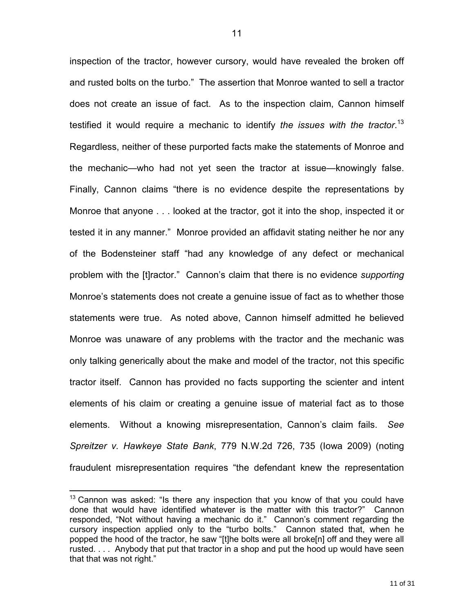inspection of the tractor, however cursory, would have revealed the broken off and rusted bolts on the turbo." The assertion that Monroe wanted to sell a tractor does not create an issue of fact. As to the inspection claim, Cannon himself testified it would require a mechanic to identify *the issues with the tractor*. 13 Regardless, neither of these purported facts make the statements of Monroe and the mechanic—who had not yet seen the tractor at issue—knowingly false. Finally, Cannon claims "there is no evidence despite the representations by Monroe that anyone . . . looked at the tractor, got it into the shop, inspected it or tested it in any manner." Monroe provided an affidavit stating neither he nor any of the Bodensteiner staff "had any knowledge of any defect or mechanical problem with the [t]ractor." Cannon's claim that there is no evidence *supporting*  Monroe's statements does not create a genuine issue of fact as to whether those statements were true. As noted above, Cannon himself admitted he believed Monroe was unaware of any problems with the tractor and the mechanic was only talking generically about the make and model of the tractor, not this specific tractor itself. Cannon has provided no facts supporting the scienter and intent elements of his claim or creating a genuine issue of material fact as to those elements. Without a knowing misrepresentation, Cannon's claim fails. *See Spreitzer v. Hawkeye State Bank*, 779 N.W.2d 726, 735 (Iowa 2009) (noting fraudulent misrepresentation requires "the defendant knew the representation

 $13$  Cannon was asked: "Is there any inspection that you know of that you could have done that would have identified whatever is the matter with this tractor?" Cannon responded, "Not without having a mechanic do it." Cannon's comment regarding the cursory inspection applied only to the "turbo bolts." Cannon stated that, when he popped the hood of the tractor, he saw "[t]he bolts were all broke[n] off and they were all rusted. . . . Anybody that put that tractor in a shop and put the hood up would have seen that that was not right."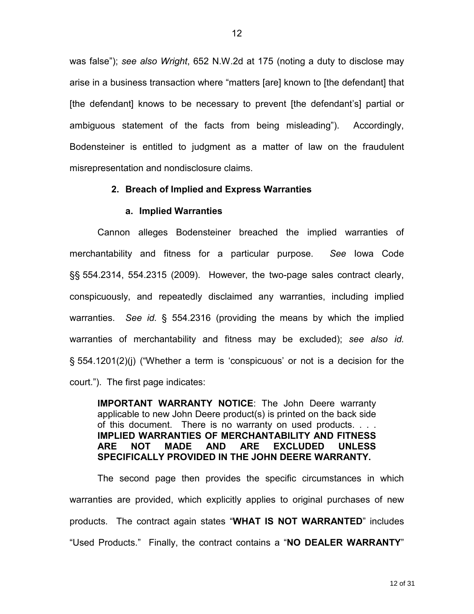was false"); *see also Wright*, 652 N.W.2d at 175 (noting a duty to disclose may arise in a business transaction where "matters [are] known to [the defendant] that [the defendant] knows to be necessary to prevent [the defendant's] partial or ambiguous statement of the facts from being misleading"). Accordingly, Bodensteiner is entitled to judgment as a matter of law on the fraudulent misrepresentation and nondisclosure claims.

# **2. Breach of Implied and Express Warranties**

### **a. Implied Warranties**

Cannon alleges Bodensteiner breached the implied warranties of merchantability and fitness for a particular purpose. *See* Iowa Code §§ 554.2314, 554.2315 (2009). However, the two-page sales contract clearly, conspicuously, and repeatedly disclaimed any warranties, including implied warranties. *See id.* § 554.2316 (providing the means by which the implied warranties of merchantability and fitness may be excluded); *see also id.* § 554.1201(2)(j) ("Whether a term is 'conspicuous' or not is a decision for the court."). The first page indicates:

**IMPORTANT WARRANTY NOTICE**: The John Deere warranty applicable to new John Deere product(s) is printed on the back side of this document. There is no warranty on used products. . . . **IMPLIED WARRANTIES OF MERCHANTABILITY AND FITNESS ARE NOT MADE AND ARE EXCLUDED UNLESS SPECIFICALLY PROVIDED IN THE JOHN DEERE WARRANTY.** 

The second page then provides the specific circumstances in which warranties are provided, which explicitly applies to original purchases of new products. The contract again states "**WHAT IS NOT WARRANTED**" includes "Used Products." Finally, the contract contains a "**NO DEALER WARRANTY**"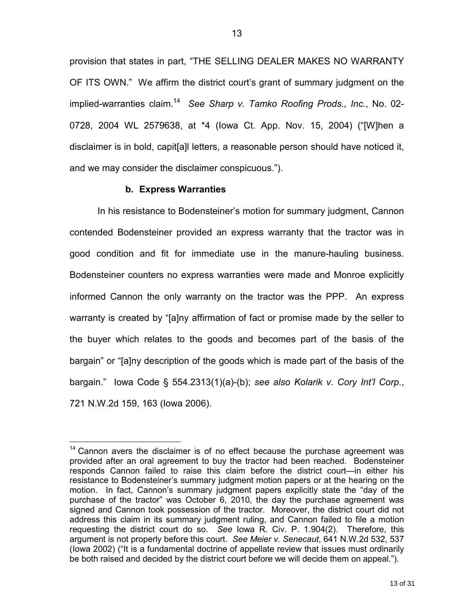provision that states in part, "THE SELLING DEALER MAKES NO WARRANTY OF ITS OWN." We affirm the district court's grant of summary judgment on the implied-warranties claim.<sup>14</sup> See Sharp v. Tamko Roofing Prods., Inc., No. 02-0728, 2004 WL 2579638, at \*4 (Iowa Ct. App. Nov. 15, 2004) ("[W]hen a disclaimer is in bold, capit[a]l letters, a reasonable person should have noticed it, and we may consider the disclaimer conspicuous.").

### **b. Express Warranties**

 $\overline{a}$ 

 In his resistance to Bodensteiner's motion for summary judgment, Cannon contended Bodensteiner provided an express warranty that the tractor was in good condition and fit for immediate use in the manure-hauling business. Bodensteiner counters no express warranties were made and Monroe explicitly informed Cannon the only warranty on the tractor was the PPP. An express warranty is created by "[a]ny affirmation of fact or promise made by the seller to the buyer which relates to the goods and becomes part of the basis of the bargain" or "[a]ny description of the goods which is made part of the basis of the bargain." Iowa Code § 554.2313(1)(a)-(b); *see also Kolarik v. Cory Int'l Corp.*, 721 N.W.2d 159, 163 (Iowa 2006).

 $14$  Cannon avers the disclaimer is of no effect because the purchase agreement was provided after an oral agreement to buy the tractor had been reached. Bodensteiner responds Cannon failed to raise this claim before the district court—in either his resistance to Bodensteiner's summary judgment motion papers or at the hearing on the motion. In fact, Cannon's summary judgment papers explicitly state the "day of the purchase of the tractor" was October 6, 2010, the day the purchase agreement was signed and Cannon took possession of the tractor. Moreover, the district court did not address this claim in its summary judgment ruling, and Cannon failed to file a motion requesting the district court do so. *See* Iowa R. Civ. P. 1.904(2). Therefore, this argument is not properly before this court. *See Meier v. Senecaut*, 641 N.W.2d 532, 537 (Iowa 2002) ("It is a fundamental doctrine of appellate review that issues must ordinarily be both raised and decided by the district court before we will decide them on appeal.").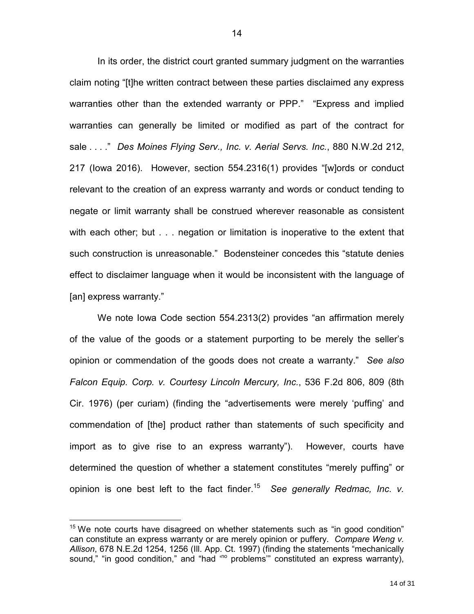In its order, the district court granted summary judgment on the warranties claim noting "[t]he written contract between these parties disclaimed any express warranties other than the extended warranty or PPP." "Express and implied warranties can generally be limited or modified as part of the contract for sale . . . ." *Des Moines Flying Serv., Inc. v. Aerial Servs. Inc.*, 880 N.W.2d 212, 217 (Iowa 2016). However, section 554.2316(1) provides "[w]ords or conduct relevant to the creation of an express warranty and words or conduct tending to negate or limit warranty shall be construed wherever reasonable as consistent with each other; but . . . negation or limitation is inoperative to the extent that such construction is unreasonable." Bodensteiner concedes this "statute denies effect to disclaimer language when it would be inconsistent with the language of [an] express warranty."

We note Iowa Code section 554.2313(2) provides "an affirmation merely of the value of the goods or a statement purporting to be merely the seller's opinion or commendation of the goods does not create a warranty." *See also Falcon Equip. Corp. v. Courtesy Lincoln Mercury, Inc.*, 536 F.2d 806, 809 (8th Cir. 1976) (per curiam) (finding the "advertisements were merely 'puffing' and commendation of [the] product rather than statements of such specificity and import as to give rise to an express warranty"). However, courts have determined the question of whether a statement constitutes "merely puffing" or opinion is one best left to the fact finder.<sup>15</sup> *See generally Redmac, Inc. v.* 

 $15$  We note courts have disagreed on whether statements such as "in good condition" can constitute an express warranty or are merely opinion or puffery. *Compare Weng v. Allison*, 678 N.E.2d 1254, 1256 (Ill. App. Ct. 1997) (finding the statements "mechanically sound," "in good condition," and "had "<sup>o</sup> problems" constituted an express warranty),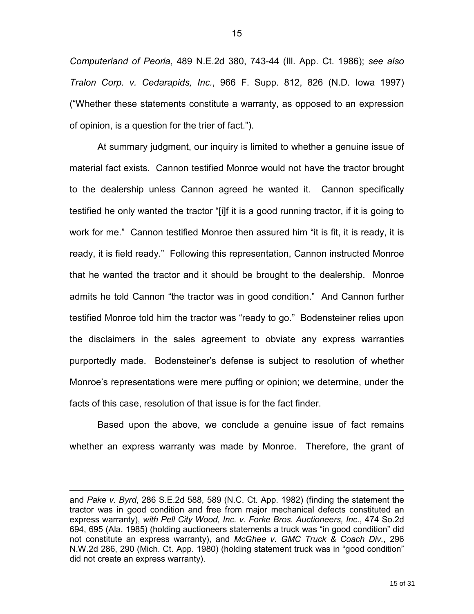*Computerland of Peoria*, 489 N.E.2d 380, 743-44 (Ill. App. Ct. 1986); *see also Tralon Corp. v. Cedarapids, Inc.*, 966 F. Supp. 812, 826 (N.D. Iowa 1997) ("Whether these statements constitute a warranty, as opposed to an expression of opinion, is a question for the trier of fact.").

At summary judgment, our inquiry is limited to whether a genuine issue of material fact exists. Cannon testified Monroe would not have the tractor brought to the dealership unless Cannon agreed he wanted it. Cannon specifically testified he only wanted the tractor "[i]f it is a good running tractor, if it is going to work for me." Cannon testified Monroe then assured him "it is fit, it is ready, it is ready, it is field ready." Following this representation, Cannon instructed Monroe that he wanted the tractor and it should be brought to the dealership. Monroe admits he told Cannon "the tractor was in good condition." And Cannon further testified Monroe told him the tractor was "ready to go." Bodensteiner relies upon the disclaimers in the sales agreement to obviate any express warranties purportedly made. Bodensteiner's defense is subject to resolution of whether Monroe's representations were mere puffing or opinion; we determine, under the facts of this case, resolution of that issue is for the fact finder.

Based upon the above, we conclude a genuine issue of fact remains whether an express warranty was made by Monroe. Therefore, the grant of

and *Pake v. Byrd*, 286 S.E.2d 588, 589 (N.C. Ct. App. 1982) (finding the statement the tractor was in good condition and free from major mechanical defects constituted an express warranty), *with Pell City Wood, Inc. v. Forke Bros. Auctioneers, Inc.*, 474 So.2d 694, 695 (Ala. 1985) (holding auctioneers statements a truck was "in good condition" did not constitute an express warranty), and *McGhee v. GMC Truck & Coach Div.*, 296 N.W.2d 286, 290 (Mich. Ct. App. 1980) (holding statement truck was in "good condition" did not create an express warranty).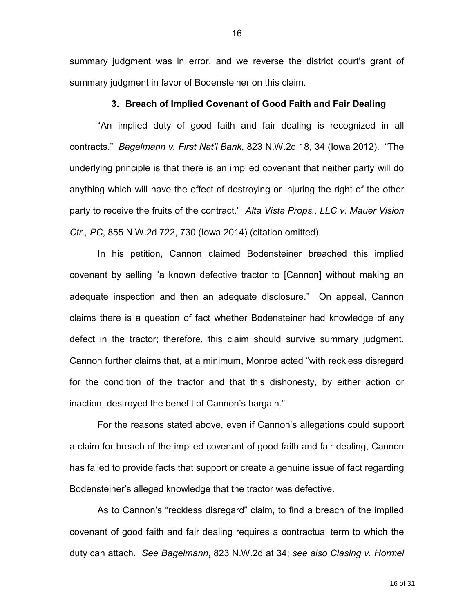summary judgment was in error, and we reverse the district court's grant of summary judgment in favor of Bodensteiner on this claim.

#### **3. Breach of Implied Covenant of Good Faith and Fair Dealing**

"An implied duty of good faith and fair dealing is recognized in all contracts." *Bagelmann v. First Nat'l Bank*, 823 N.W.2d 18, 34 (Iowa 2012). "The underlying principle is that there is an implied covenant that neither party will do anything which will have the effect of destroying or injuring the right of the other party to receive the fruits of the contract." *Alta Vista Props., LLC v. Mauer Vision Ctr., PC*, 855 N.W.2d 722, 730 (Iowa 2014) (citation omitted).

In his petition, Cannon claimed Bodensteiner breached this implied covenant by selling "a known defective tractor to [Cannon] without making an adequate inspection and then an adequate disclosure." On appeal, Cannon claims there is a question of fact whether Bodensteiner had knowledge of any defect in the tractor; therefore, this claim should survive summary judgment. Cannon further claims that, at a minimum, Monroe acted "with reckless disregard for the condition of the tractor and that this dishonesty, by either action or inaction, destroyed the benefit of Cannon's bargain."

 For the reasons stated above, even if Cannon's allegations could support a claim for breach of the implied covenant of good faith and fair dealing, Cannon has failed to provide facts that support or create a genuine issue of fact regarding Bodensteiner's alleged knowledge that the tractor was defective.

 As to Cannon's "reckless disregard" claim, to find a breach of the implied covenant of good faith and fair dealing requires a contractual term to which the duty can attach. *See Bagelmann*, 823 N.W.2d at 34; *see also Clasing v. Hormel*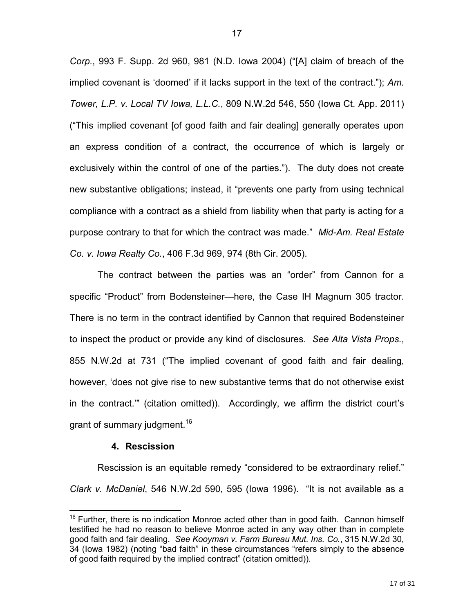*Corp.*, 993 F. Supp. 2d 960, 981 (N.D. Iowa 2004) ("[A] claim of breach of the implied covenant is 'doomed' if it lacks support in the text of the contract."); *Am. Tower, L.P. v. Local TV Iowa, L.L.C.*, 809 N.W.2d 546, 550 (Iowa Ct. App. 2011) ("This implied covenant [of good faith and fair dealing] generally operates upon an express condition of a contract, the occurrence of which is largely or exclusively within the control of one of the parties."). The duty does not create new substantive obligations; instead, it "prevents one party from using technical compliance with a contract as a shield from liability when that party is acting for a purpose contrary to that for which the contract was made." *Mid-Am. Real Estate Co. v. Iowa Realty Co.*, 406 F.3d 969, 974 (8th Cir. 2005).

 The contract between the parties was an "order" from Cannon for a specific "Product" from Bodensteiner—here, the Case IH Magnum 305 tractor. There is no term in the contract identified by Cannon that required Bodensteiner to inspect the product or provide any kind of disclosures. *See Alta Vista Props.*, 855 N.W.2d at 731 ("The implied covenant of good faith and fair dealing, however, 'does not give rise to new substantive terms that do not otherwise exist in the contract.'" (citation omitted)). Accordingly, we affirm the district court's grant of summary judgment.<sup>16</sup>

### **4. Rescission**

 $\overline{a}$ 

Rescission is an equitable remedy "considered to be extraordinary relief." *Clark v. McDaniel*, 546 N.W.2d 590, 595 (Iowa 1996). "It is not available as a

 $16$  Further, there is no indication Monroe acted other than in good faith. Cannon himself testified he had no reason to believe Monroe acted in any way other than in complete good faith and fair dealing. *See Kooyman v. Farm Bureau Mut. Ins. Co.*, 315 N.W.2d 30, 34 (Iowa 1982) (noting "bad faith" in these circumstances "refers simply to the absence of good faith required by the implied contract" (citation omitted)).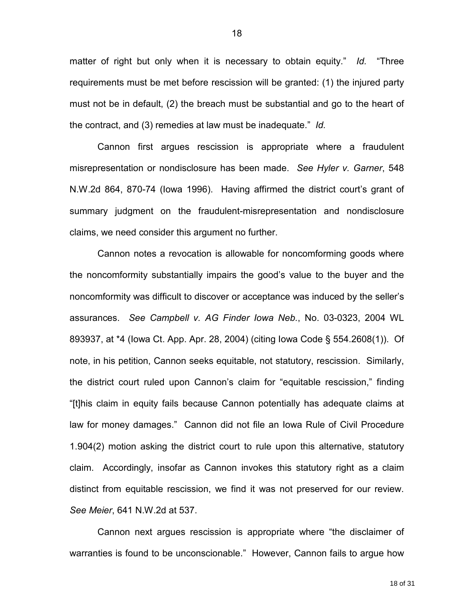matter of right but only when it is necessary to obtain equity." *Id.* "Three requirements must be met before rescission will be granted: (1) the injured party must not be in default, (2) the breach must be substantial and go to the heart of the contract, and (3) remedies at law must be inadequate." *Id.*

 Cannon first argues rescission is appropriate where a fraudulent misrepresentation or nondisclosure has been made. *See Hyler v. Garner*, 548 N.W.2d 864, 870-74 (Iowa 1996). Having affirmed the district court's grant of summary judgment on the fraudulent-misrepresentation and nondisclosure claims, we need consider this argument no further.

 Cannon notes a revocation is allowable for noncomforming goods where the noncomformity substantially impairs the good's value to the buyer and the noncomformity was difficult to discover or acceptance was induced by the seller's assurances. *See Campbell v. AG Finder Iowa Neb.*, No. 03-0323, 2004 WL 893937, at \*4 (Iowa Ct. App. Apr. 28, 2004) (citing Iowa Code § 554.2608(1)). Of note, in his petition, Cannon seeks equitable, not statutory, rescission. Similarly, the district court ruled upon Cannon's claim for "equitable rescission," finding "[t]his claim in equity fails because Cannon potentially has adequate claims at law for money damages." Cannon did not file an Iowa Rule of Civil Procedure 1.904(2) motion asking the district court to rule upon this alternative, statutory claim. Accordingly, insofar as Cannon invokes this statutory right as a claim distinct from equitable rescission, we find it was not preserved for our review. *See Meier*, 641 N.W.2d at 537.

 Cannon next argues rescission is appropriate where "the disclaimer of warranties is found to be unconscionable." However, Cannon fails to argue how

18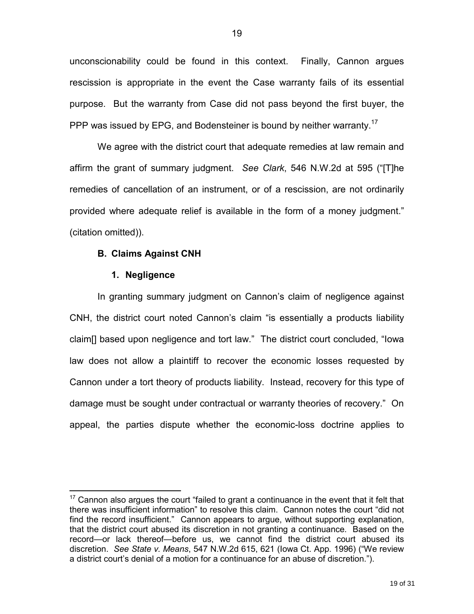unconscionability could be found in this context. Finally, Cannon argues rescission is appropriate in the event the Case warranty fails of its essential purpose. But the warranty from Case did not pass beyond the first buyer, the PPP was issued by EPG, and Bodensteiner is bound by neither warranty.<sup>17</sup>

 We agree with the district court that adequate remedies at law remain and affirm the grant of summary judgment. *See Clark*, 546 N.W.2d at 595 ("[T]he remedies of cancellation of an instrument, or of a rescission, are not ordinarily provided where adequate relief is available in the form of a money judgment." (citation omitted)).

### **B. Claims Against CNH**

#### **1. Negligence**

 $\overline{a}$ 

 In granting summary judgment on Cannon's claim of negligence against CNH, the district court noted Cannon's claim "is essentially a products liability claim[] based upon negligence and tort law." The district court concluded, "Iowa law does not allow a plaintiff to recover the economic losses requested by Cannon under a tort theory of products liability. Instead, recovery for this type of damage must be sought under contractual or warranty theories of recovery." On appeal, the parties dispute whether the economic-loss doctrine applies to

 $17$  Cannon also argues the court "failed to grant a continuance in the event that it felt that there was insufficient information" to resolve this claim. Cannon notes the court "did not find the record insufficient." Cannon appears to argue, without supporting explanation, that the district court abused its discretion in not granting a continuance. Based on the record—or lack thereof—before us, we cannot find the district court abused its discretion. *See State v. Means*, 547 N.W.2d 615, 621 (Iowa Ct. App. 1996) ("We review a district court's denial of a motion for a continuance for an abuse of discretion.").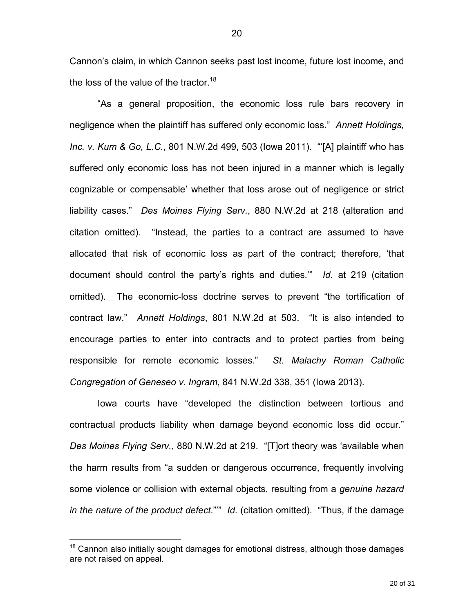Cannon's claim, in which Cannon seeks past lost income, future lost income, and the loss of the value of the tractor.<sup>18</sup>

 "As a general proposition, the economic loss rule bars recovery in negligence when the plaintiff has suffered only economic loss." *Annett Holdings, Inc. v. Kum & Go, L.C.*, 801 N.W.2d 499, 503 (Iowa 2011). "'[A] plaintiff who has suffered only economic loss has not been injured in a manner which is legally cognizable or compensable' whether that loss arose out of negligence or strict liability cases." *Des Moines Flying Serv.*, 880 N.W.2d at 218 (alteration and citation omitted). "Instead, the parties to a contract are assumed to have allocated that risk of economic loss as part of the contract; therefore, 'that document should control the party's rights and duties.'" *Id.* at 219 (citation omitted). The economic-loss doctrine serves to prevent "the tortification of contract law." *Annett Holdings*, 801 N.W.2d at 503. "It is also intended to encourage parties to enter into contracts and to protect parties from being responsible for remote economic losses." *St. Malachy Roman Catholic Congregation of Geneseo v. Ingram*, 841 N.W.2d 338, 351 (Iowa 2013).

 Iowa courts have "developed the distinction between tortious and contractual products liability when damage beyond economic loss did occur." *Des Moines Flying Serv.*, 880 N.W.2d at 219. "[T]ort theory was 'available when the harm results from "a sudden or dangerous occurrence, frequently involving some violence or collision with external objects, resulting from a *genuine hazard in the nature of the product defect*."'" *Id.* (citation omitted). "Thus, if the damage

 $18$  Cannon also initially sought damages for emotional distress, although those damages are not raised on appeal.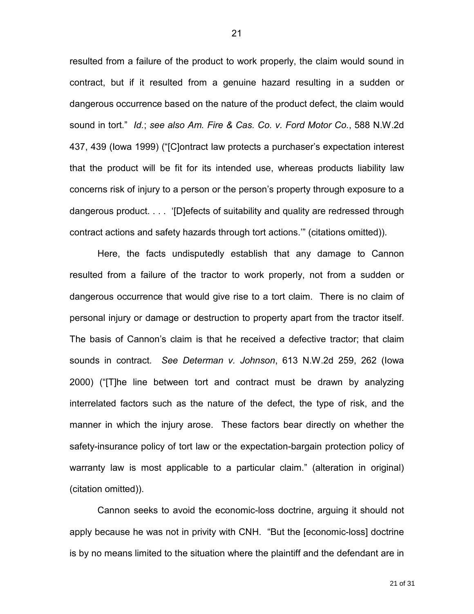resulted from a failure of the product to work properly, the claim would sound in contract, but if it resulted from a genuine hazard resulting in a sudden or dangerous occurrence based on the nature of the product defect, the claim would sound in tort." *Id.*; *see also Am. Fire & Cas. Co. v. Ford Motor Co.*, 588 N.W.2d 437, 439 (Iowa 1999) ("[C]ontract law protects a purchaser's expectation interest that the product will be fit for its intended use, whereas products liability law concerns risk of injury to a person or the person's property through exposure to a dangerous product. . . . '[D]efects of suitability and quality are redressed through contract actions and safety hazards through tort actions.'" (citations omitted)).

 Here, the facts undisputedly establish that any damage to Cannon resulted from a failure of the tractor to work properly, not from a sudden or dangerous occurrence that would give rise to a tort claim. There is no claim of personal injury or damage or destruction to property apart from the tractor itself. The basis of Cannon's claim is that he received a defective tractor; that claim sounds in contract. *See Determan v. Johnson*, 613 N.W.2d 259, 262 (Iowa 2000) ("[T]he line between tort and contract must be drawn by analyzing interrelated factors such as the nature of the defect, the type of risk, and the manner in which the injury arose. These factors bear directly on whether the safety-insurance policy of tort law or the expectation-bargain protection policy of warranty law is most applicable to a particular claim." (alteration in original) (citation omitted)).

 Cannon seeks to avoid the economic-loss doctrine, arguing it should not apply because he was not in privity with CNH. "But the [economic-loss] doctrine is by no means limited to the situation where the plaintiff and the defendant are in

21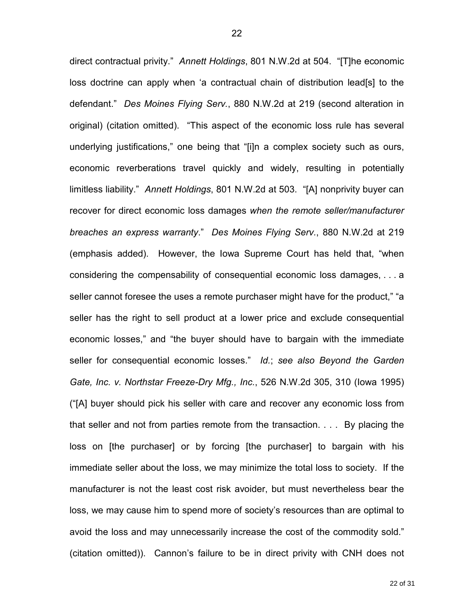direct contractual privity." *Annett Holdings*, 801 N.W.2d at 504. "[T]he economic loss doctrine can apply when 'a contractual chain of distribution lead[s] to the defendant." *Des Moines Flying Serv.*, 880 N.W.2d at 219 (second alteration in original) (citation omitted). "This aspect of the economic loss rule has several underlying justifications," one being that "[i]n a complex society such as ours, economic reverberations travel quickly and widely, resulting in potentially limitless liability." *Annett Holdings*, 801 N.W.2d at 503. "[A] nonprivity buyer can recover for direct economic loss damages *when the remote seller/manufacturer breaches an express warranty*." *Des Moines Flying Serv.*, 880 N.W.2d at 219 (emphasis added). However, the Iowa Supreme Court has held that, "when considering the compensability of consequential economic loss damages, . . . a seller cannot foresee the uses a remote purchaser might have for the product," "a seller has the right to sell product at a lower price and exclude consequential economic losses," and "the buyer should have to bargain with the immediate seller for consequential economic losses." *Id.*; *see also Beyond the Garden Gate, Inc. v. Northstar Freeze-Dry Mfg., Inc.*, 526 N.W.2d 305, 310 (Iowa 1995) ("[A] buyer should pick his seller with care and recover any economic loss from that seller and not from parties remote from the transaction. . . . By placing the loss on [the purchaser] or by forcing [the purchaser] to bargain with his immediate seller about the loss, we may minimize the total loss to society. If the manufacturer is not the least cost risk avoider, but must nevertheless bear the loss, we may cause him to spend more of society's resources than are optimal to avoid the loss and may unnecessarily increase the cost of the commodity sold." (citation omitted)). Cannon's failure to be in direct privity with CNH does not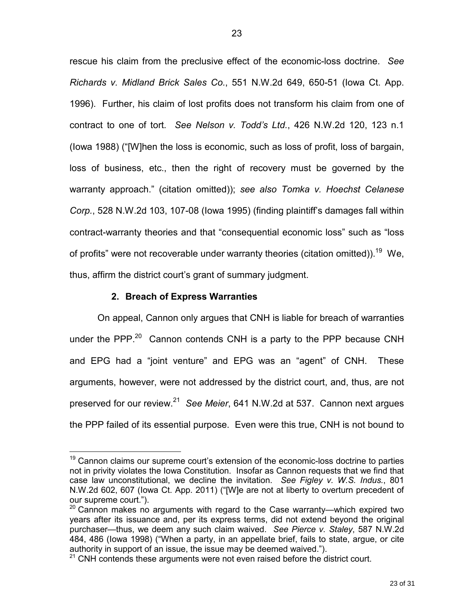rescue his claim from the preclusive effect of the economic-loss doctrine. *See Richards v. Midland Brick Sales Co.*, 551 N.W.2d 649, 650-51 (Iowa Ct. App. 1996). Further, his claim of lost profits does not transform his claim from one of contract to one of tort. *See Nelson v. Todd's Ltd.*, 426 N.W.2d 120, 123 n.1 (Iowa 1988) ("[W]hen the loss is economic, such as loss of profit, loss of bargain, loss of business, etc., then the right of recovery must be governed by the warranty approach." (citation omitted)); *see also Tomka v. Hoechst Celanese Corp.*, 528 N.W.2d 103, 107-08 (Iowa 1995) (finding plaintiff's damages fall within contract-warranty theories and that "consequential economic loss" such as "loss of profits" were not recoverable under warranty theories (citation omitted)).<sup>19</sup> We, thus, affirm the district court's grant of summary judgment.

### **2. Breach of Express Warranties**

 $\overline{a}$ 

On appeal, Cannon only argues that CNH is liable for breach of warranties under the PPP.<sup>20</sup> Cannon contends CNH is a party to the PPP because CNH and EPG had a "joint venture" and EPG was an "agent" of CNH. These arguments, however, were not addressed by the district court, and, thus, are not preserved for our review.<sup>21</sup> See Meier, 641 N.W.2d at 537. Cannon next argues the PPP failed of its essential purpose. Even were this true, CNH is not bound to

 $19$  Cannon claims our supreme court's extension of the economic-loss doctrine to parties not in privity violates the Iowa Constitution. Insofar as Cannon requests that we find that case law unconstitutional, we decline the invitation. *See Figley v. W.S. Indus.*, 801 N.W.2d 602, 607 (Iowa Ct. App. 2011) ("[W]e are not at liberty to overturn precedent of our supreme court.").

 $20$  Cannon makes no arguments with regard to the Case warranty—which expired two years after its issuance and, per its express terms, did not extend beyond the original purchaser—thus, we deem any such claim waived. *See Pierce v. Staley*, 587 N.W.2d 484, 486 (Iowa 1998) ("When a party, in an appellate brief, fails to state, argue, or cite authority in support of an issue, the issue may be deemed waived.").

 $21$  CNH contends these arguments were not even raised before the district court.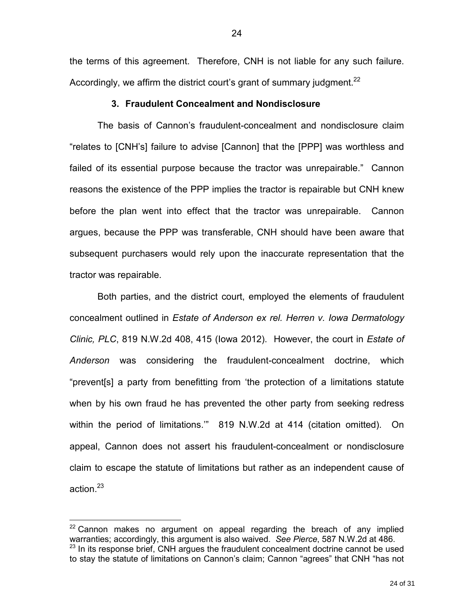the terms of this agreement. Therefore, CNH is not liable for any such failure. Accordingly, we affirm the district court's grant of summary judgment.<sup>22</sup>

### **3. Fraudulent Concealment and Nondisclosure**

The basis of Cannon's fraudulent-concealment and nondisclosure claim "relates to [CNH's] failure to advise [Cannon] that the [PPP] was worthless and failed of its essential purpose because the tractor was unrepairable." Cannon reasons the existence of the PPP implies the tractor is repairable but CNH knew before the plan went into effect that the tractor was unrepairable. Cannon argues, because the PPP was transferable, CNH should have been aware that subsequent purchasers would rely upon the inaccurate representation that the tractor was repairable.

 Both parties, and the district court, employed the elements of fraudulent concealment outlined in *Estate of Anderson ex rel. Herren v. Iowa Dermatology Clinic, PLC*, 819 N.W.2d 408, 415 (Iowa 2012). However, the court in *Estate of Anderson* was considering the fraudulent-concealment doctrine, which "prevent[s] a party from benefitting from 'the protection of a limitations statute when by his own fraud he has prevented the other party from seeking redress within the period of limitations.'" 819 N.W.2d at 414 (citation omitted). On appeal, Cannon does not assert his fraudulent-concealment or nondisclosure claim to escape the statute of limitations but rather as an independent cause of action.<sup>23</sup>

<u>.</u>

 $22$  Cannon makes no argument on appeal regarding the breach of any implied warranties; accordingly, this argument is also waived. *See Pierce*, 587 N.W.2d at 486.  $23$  In its response brief, CNH argues the fraudulent concealment doctrine cannot be used to stay the statute of limitations on Cannon's claim; Cannon "agrees" that CNH "has not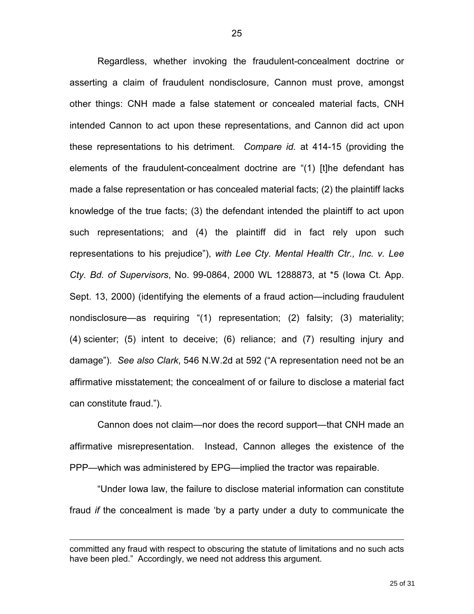Regardless, whether invoking the fraudulent-concealment doctrine or asserting a claim of fraudulent nondisclosure, Cannon must prove, amongst other things: CNH made a false statement or concealed material facts, CNH intended Cannon to act upon these representations, and Cannon did act upon these representations to his detriment. *Compare id.* at 414-15 (providing the elements of the fraudulent-concealment doctrine are "(1) [t]he defendant has made a false representation or has concealed material facts; (2) the plaintiff lacks knowledge of the true facts; (3) the defendant intended the plaintiff to act upon such representations; and (4) the plaintiff did in fact rely upon such representations to his prejudice"), *with Lee Cty. Mental Health Ctr., Inc. v. Lee Cty. Bd. of Supervisors*, No. 99-0864, 2000 WL 1288873, at \*5 (Iowa Ct. App. Sept. 13, 2000) (identifying the elements of a fraud action—including fraudulent nondisclosure—as requiring "(1) representation; (2) falsity; (3) materiality; (4) scienter; (5) intent to deceive; (6) reliance; and (7) resulting injury and damage"). *See also Clark*, 546 N.W.2d at 592 ("A representation need not be an affirmative misstatement; the concealment of or failure to disclose a material fact can constitute fraud.").

 Cannon does not claim—nor does the record support—that CNH made an affirmative misrepresentation. Instead, Cannon alleges the existence of the PPP—which was administered by EPG—implied the tractor was repairable.

 "Under Iowa law, the failure to disclose material information can constitute fraud *if* the concealment is made 'by a party under a duty to communicate the

committed any fraud with respect to obscuring the statute of limitations and no such acts have been pled." Accordingly, we need not address this argument.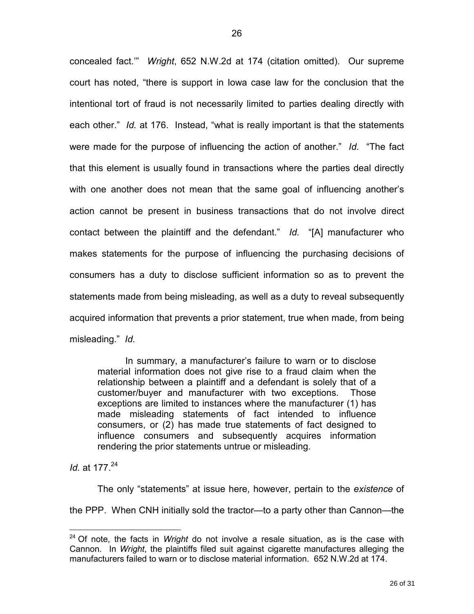concealed fact.'" *Wright*, 652 N.W.2d at 174 (citation omitted). Our supreme court has noted, "there is support in Iowa case law for the conclusion that the intentional tort of fraud is not necessarily limited to parties dealing directly with each other." *Id.* at 176. Instead, "what is really important is that the statements were made for the purpose of influencing the action of another." *Id.* "The fact that this element is usually found in transactions where the parties deal directly with one another does not mean that the same goal of influencing another's action cannot be present in business transactions that do not involve direct contact between the plaintiff and the defendant." *Id.* "[A] manufacturer who makes statements for the purpose of influencing the purchasing decisions of consumers has a duty to disclose sufficient information so as to prevent the statements made from being misleading, as well as a duty to reveal subsequently acquired information that prevents a prior statement, true when made, from being misleading." *Id.* 

In summary, a manufacturer's failure to warn or to disclose material information does not give rise to a fraud claim when the relationship between a plaintiff and a defendant is solely that of a customer/buyer and manufacturer with two exceptions. Those exceptions are limited to instances where the manufacturer (1) has made misleading statements of fact intended to influence consumers, or (2) has made true statements of fact designed to influence consumers and subsequently acquires information rendering the prior statements untrue or misleading.

*Id.* at 177<sup>24</sup>

 $\overline{a}$ 

 The only "statements" at issue here, however, pertain to the *existence* of the PPP. When CNH initially sold the tractor—to a party other than Cannon—the

<sup>24</sup> Of note, the facts in *Wright* do not involve a resale situation, as is the case with Cannon. In *Wright*, the plaintiffs filed suit against cigarette manufactures alleging the manufacturers failed to warn or to disclose material information. 652 N.W.2d at 174.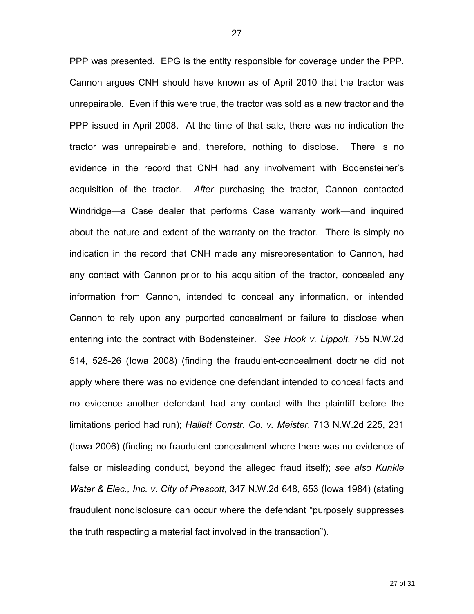PPP was presented. EPG is the entity responsible for coverage under the PPP. Cannon argues CNH should have known as of April 2010 that the tractor was unrepairable. Even if this were true, the tractor was sold as a new tractor and the PPP issued in April 2008. At the time of that sale, there was no indication the tractor was unrepairable and, therefore, nothing to disclose. There is no evidence in the record that CNH had any involvement with Bodensteiner's acquisition of the tractor. *After* purchasing the tractor, Cannon contacted Windridge—a Case dealer that performs Case warranty work—and inquired about the nature and extent of the warranty on the tractor. There is simply no indication in the record that CNH made any misrepresentation to Cannon, had any contact with Cannon prior to his acquisition of the tractor, concealed any information from Cannon, intended to conceal any information, or intended Cannon to rely upon any purported concealment or failure to disclose when entering into the contract with Bodensteiner. *See Hook v. Lippolt*, 755 N.W.2d 514, 525-26 (Iowa 2008) (finding the fraudulent-concealment doctrine did not apply where there was no evidence one defendant intended to conceal facts and no evidence another defendant had any contact with the plaintiff before the limitations period had run); *Hallett Constr. Co. v. Meister*, 713 N.W.2d 225, 231 (Iowa 2006) (finding no fraudulent concealment where there was no evidence of false or misleading conduct, beyond the alleged fraud itself); *see also Kunkle Water & Elec., Inc. v. City of Prescott*, 347 N.W.2d 648, 653 (Iowa 1984) (stating fraudulent nondisclosure can occur where the defendant "purposely suppresses the truth respecting a material fact involved in the transaction").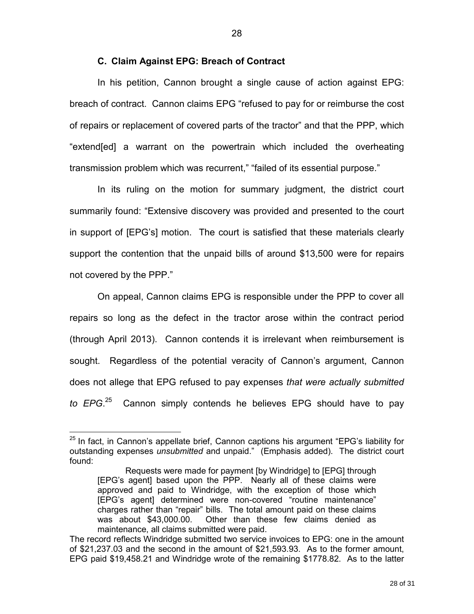### **C. Claim Against EPG: Breach of Contract**

In his petition, Cannon brought a single cause of action against EPG: breach of contract. Cannon claims EPG "refused to pay for or reimburse the cost of repairs or replacement of covered parts of the tractor" and that the PPP, which "extend[ed] a warrant on the powertrain which included the overheating transmission problem which was recurrent," "failed of its essential purpose."

In its ruling on the motion for summary judgment, the district court summarily found: "Extensive discovery was provided and presented to the court in support of [EPG's] motion. The court is satisfied that these materials clearly support the contention that the unpaid bills of around \$13,500 were for repairs not covered by the PPP."

On appeal, Cannon claims EPG is responsible under the PPP to cover all repairs so long as the defect in the tractor arose within the contract period (through April 2013). Cannon contends it is irrelevant when reimbursement is sought. Regardless of the potential veracity of Cannon's argument, Cannon does not allege that EPG refused to pay expenses *that were actually submitted to EPG*. <sup>25</sup> Cannon simply contends he believes EPG should have to pay

 $25$  In fact, in Cannon's appellate brief, Cannon captions his argument "EPG's liability for outstanding expenses *unsubmitted* and unpaid." (Emphasis added). The district court found:

Requests were made for payment [by Windridge] to [EPG] through [EPG's agent] based upon the PPP. Nearly all of these claims were approved and paid to Windridge, with the exception of those which [EPG's agent] determined were non-covered "routine maintenance" charges rather than "repair" bills. The total amount paid on these claims was about \$43,000.00. Other than these few claims denied as maintenance, all claims submitted were paid.

The record reflects Windridge submitted two service invoices to EPG: one in the amount of \$21,237.03 and the second in the amount of \$21,593.93. As to the former amount, EPG paid \$19,458.21 and Windridge wrote of the remaining \$1778.82. As to the latter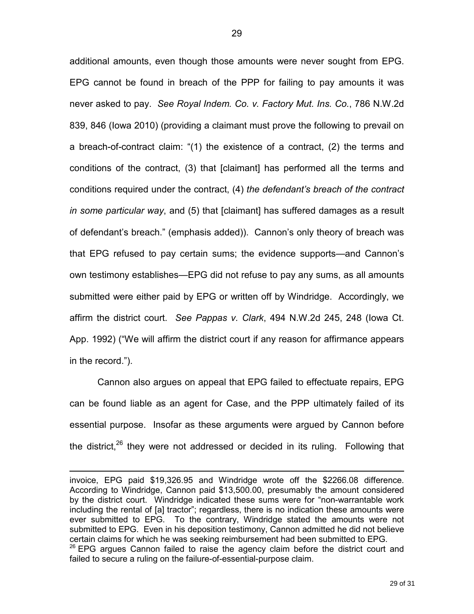additional amounts, even though those amounts were never sought from EPG. EPG cannot be found in breach of the PPP for failing to pay amounts it was never asked to pay. *See Royal Indem. Co. v. Factory Mut. Ins. Co.*, 786 N.W.2d 839, 846 (Iowa 2010) (providing a claimant must prove the following to prevail on a breach-of-contract claim: "(1) the existence of a contract, (2) the terms and conditions of the contract, (3) that [claimant] has performed all the terms and conditions required under the contract, (4) *the defendant's breach of the contract in some particular way*, and (5) that [claimant] has suffered damages as a result of defendant's breach." (emphasis added)). Cannon's only theory of breach was that EPG refused to pay certain sums; the evidence supports—and Cannon's own testimony establishes—EPG did not refuse to pay any sums, as all amounts submitted were either paid by EPG or written off by Windridge. Accordingly, we affirm the district court. *See Pappas v. Clark*, 494 N.W.2d 245, 248 (Iowa Ct. App. 1992) ("We will affirm the district court if any reason for affirmance appears in the record.").

Cannon also argues on appeal that EPG failed to effectuate repairs, EPG can be found liable as an agent for Case, and the PPP ultimately failed of its essential purpose. Insofar as these arguments were argued by Cannon before the district, $26$  they were not addressed or decided in its ruling. Following that

invoice, EPG paid \$19,326.95 and Windridge wrote off the \$2266.08 difference. According to Windridge, Cannon paid \$13,500.00, presumably the amount considered by the district court. Windridge indicated these sums were for "non-warrantable work including the rental of [a] tractor"; regardless, there is no indication these amounts were ever submitted to EPG. To the contrary, Windridge stated the amounts were not submitted to EPG. Even in his deposition testimony, Cannon admitted he did not believe certain claims for which he was seeking reimbursement had been submitted to EPG.  $26$  EPG argues Cannon failed to raise the agency claim before the district court and failed to secure a ruling on the failure-of-essential-purpose claim.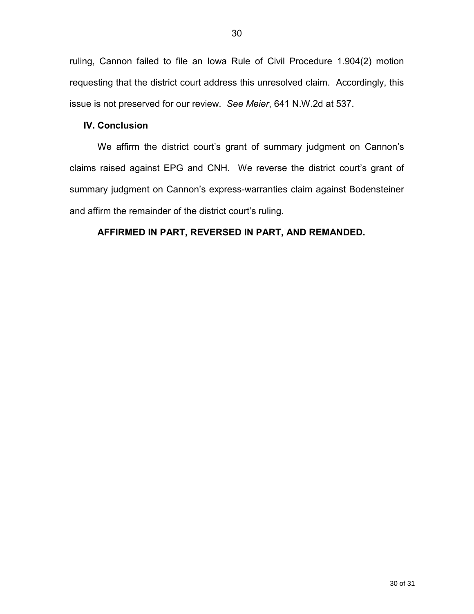ruling, Cannon failed to file an Iowa Rule of Civil Procedure 1.904(2) motion requesting that the district court address this unresolved claim. Accordingly, this issue is not preserved for our review. *See Meier*, 641 N.W.2d at 537.

# **IV. Conclusion**

We affirm the district court's grant of summary judgment on Cannon's claims raised against EPG and CNH. We reverse the district court's grant of summary judgment on Cannon's express-warranties claim against Bodensteiner and affirm the remainder of the district court's ruling.

# **AFFIRMED IN PART, REVERSED IN PART, AND REMANDED.**